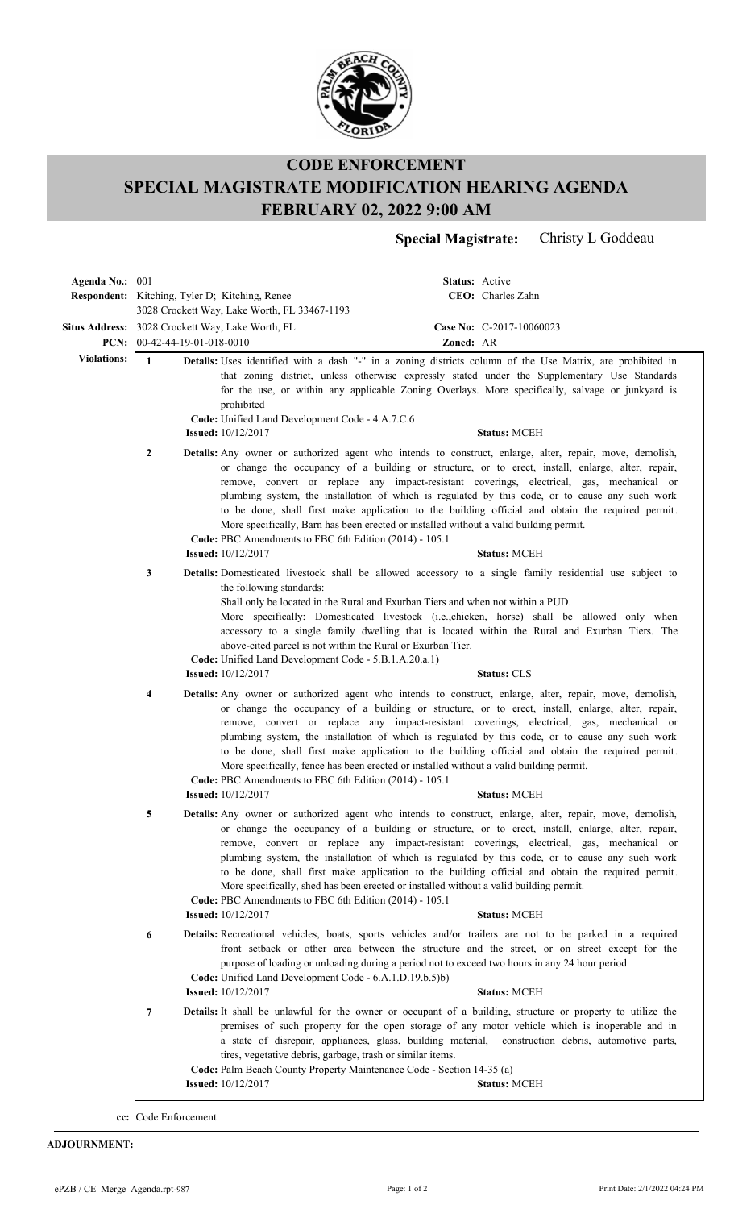

## **CODE ENFORCEMENT SPECIAL MAGISTRATE MODIFICATION HEARING AGENDA FEBRUARY 02, 2022 9:00 AM**

**Special Magistrate:** Christy L Goddeau

| Agenda No.: 001    |                                                                                                                                                                                                                                                                                                                                                                                                                                                                                                                                                                                                                                                                              |                                                                                                                                                                                                                                                                  |           | Status: Active                                                                                                                                                                                                                                                                                                                                                                                                                                                                                                                            |
|--------------------|------------------------------------------------------------------------------------------------------------------------------------------------------------------------------------------------------------------------------------------------------------------------------------------------------------------------------------------------------------------------------------------------------------------------------------------------------------------------------------------------------------------------------------------------------------------------------------------------------------------------------------------------------------------------------|------------------------------------------------------------------------------------------------------------------------------------------------------------------------------------------------------------------------------------------------------------------|-----------|-------------------------------------------------------------------------------------------------------------------------------------------------------------------------------------------------------------------------------------------------------------------------------------------------------------------------------------------------------------------------------------------------------------------------------------------------------------------------------------------------------------------------------------------|
|                    | <b>Respondent:</b> Kitching, Tyler D; Kitching, Renee                                                                                                                                                                                                                                                                                                                                                                                                                                                                                                                                                                                                                        | 3028 Crockett Way, Lake Worth, FL 33467-1193                                                                                                                                                                                                                     |           | CEO: Charles Zahn                                                                                                                                                                                                                                                                                                                                                                                                                                                                                                                         |
|                    | PCN: $00-42-44-19-01-018-0010$                                                                                                                                                                                                                                                                                                                                                                                                                                                                                                                                                                                                                                               | Situs Address: 3028 Crockett Way, Lake Worth, FL                                                                                                                                                                                                                 | Zoned: AR | Case No: C-2017-10060023                                                                                                                                                                                                                                                                                                                                                                                                                                                                                                                  |
| <b>Violations:</b> | $\mathbf{1}$                                                                                                                                                                                                                                                                                                                                                                                                                                                                                                                                                                                                                                                                 | prohibited<br>Code: Unified Land Development Code - 4.A.7.C.6<br><b>Issued:</b> 10/12/2017                                                                                                                                                                       |           | Details: Uses identified with a dash "-" in a zoning districts column of the Use Matrix, are prohibited in<br>that zoning district, unless otherwise expressly stated under the Supplementary Use Standards<br>for the use, or within any applicable Zoning Overlays. More specifically, salvage or junkyard is<br><b>Status: MCEH</b>                                                                                                                                                                                                    |
|                    | 2                                                                                                                                                                                                                                                                                                                                                                                                                                                                                                                                                                                                                                                                            | More specifically, Barn has been erected or installed without a valid building permit.<br>Code: PBC Amendments to FBC 6th Edition (2014) - 105.1<br><b>Issued:</b> 10/12/2017                                                                                    |           | Details: Any owner or authorized agent who intends to construct, enlarge, alter, repair, move, demolish,<br>or change the occupancy of a building or structure, or to erect, install, enlarge, alter, repair,<br>remove, convert or replace any impact-resistant coverings, electrical, gas, mechanical or<br>plumbing system, the installation of which is regulated by this code, or to cause any such work<br>to be done, shall first make application to the building official and obtain the required permit.<br><b>Status: MCEH</b> |
|                    | 3                                                                                                                                                                                                                                                                                                                                                                                                                                                                                                                                                                                                                                                                            |                                                                                                                                                                                                                                                                  |           | Details: Domesticated livestock shall be allowed accessory to a single family residential use subject to                                                                                                                                                                                                                                                                                                                                                                                                                                  |
|                    |                                                                                                                                                                                                                                                                                                                                                                                                                                                                                                                                                                                                                                                                              | the following standards:<br>Shall only be located in the Rural and Exurban Tiers and when not within a PUD.<br>above-cited parcel is not within the Rural or Exurban Tier.<br>Code: Unified Land Development Code - 5.B.1.A.20.a.1)<br><b>Issued:</b> 10/12/2017 |           | More specifically: Domesticated livestock (i.e.,chicken, horse) shall be allowed only when<br>accessory to a single family dwelling that is located within the Rural and Exurban Tiers. The<br><b>Status: CLS</b>                                                                                                                                                                                                                                                                                                                         |
|                    | Details: Any owner or authorized agent who intends to construct, enlarge, alter, repair, move, demolish,<br>4<br>or change the occupancy of a building or structure, or to erect, install, enlarge, alter, repair,<br>remove, convert or replace any impact-resistant coverings, electrical, gas, mechanical or<br>plumbing system, the installation of which is regulated by this code, or to cause any such work<br>to be done, shall first make application to the building official and obtain the required permit.<br>More specifically, fence has been erected or installed without a valid building permit.<br>Code: PBC Amendments to FBC 6th Edition (2014) - 105.1 |                                                                                                                                                                                                                                                                  |           |                                                                                                                                                                                                                                                                                                                                                                                                                                                                                                                                           |
|                    |                                                                                                                                                                                                                                                                                                                                                                                                                                                                                                                                                                                                                                                                              | <b>Issued:</b> 10/12/2017                                                                                                                                                                                                                                        |           | <b>Status: MCEH</b>                                                                                                                                                                                                                                                                                                                                                                                                                                                                                                                       |
|                    | 5                                                                                                                                                                                                                                                                                                                                                                                                                                                                                                                                                                                                                                                                            | More specifically, shed has been erected or installed without a valid building permit.<br>Code: PBC Amendments to FBC 6th Edition (2014) - 105.1<br><b>Issued:</b> 10/12/2017                                                                                    |           | Details: Any owner or authorized agent who intends to construct, enlarge, alter, repair, move, demolish,<br>or change the occupancy of a building or structure, or to erect, install, enlarge, alter, repair,<br>remove, convert or replace any impact-resistant coverings, electrical, gas, mechanical or<br>plumbing system, the installation of which is regulated by this code, or to cause any such work<br>to be done, shall first make application to the building official and obtain the required permit.<br><b>Status: MCEH</b> |
|                    | 6                                                                                                                                                                                                                                                                                                                                                                                                                                                                                                                                                                                                                                                                            | Code: Unified Land Development Code - 6.A.1.D.19.b.5)b)<br><b>Issued:</b> 10/12/2017                                                                                                                                                                             |           | Details: Recreational vehicles, boats, sports vehicles and/or trailers are not to be parked in a required<br>front setback or other area between the structure and the street, or on street except for the<br>purpose of loading or unloading during a period not to exceed two hours in any 24 hour period.<br><b>Status: MCEH</b>                                                                                                                                                                                                       |
|                    | $\overline{7}$                                                                                                                                                                                                                                                                                                                                                                                                                                                                                                                                                                                                                                                               | tires, vegetative debris, garbage, trash or similar items.<br>Code: Palm Beach County Property Maintenance Code - Section 14-35 (a)                                                                                                                              |           | Details: It shall be unlawful for the owner or occupant of a building, structure or property to utilize the<br>premises of such property for the open storage of any motor vehicle which is inoperable and in<br>a state of disrepair, appliances, glass, building material, construction debris, automotive parts,                                                                                                                                                                                                                       |
|                    |                                                                                                                                                                                                                                                                                                                                                                                                                                                                                                                                                                                                                                                                              | <b>Issued:</b> 10/12/2017                                                                                                                                                                                                                                        |           | <b>Status: MCEH</b>                                                                                                                                                                                                                                                                                                                                                                                                                                                                                                                       |
|                    |                                                                                                                                                                                                                                                                                                                                                                                                                                                                                                                                                                                                                                                                              |                                                                                                                                                                                                                                                                  |           |                                                                                                                                                                                                                                                                                                                                                                                                                                                                                                                                           |

**cc:** Code Enforcement